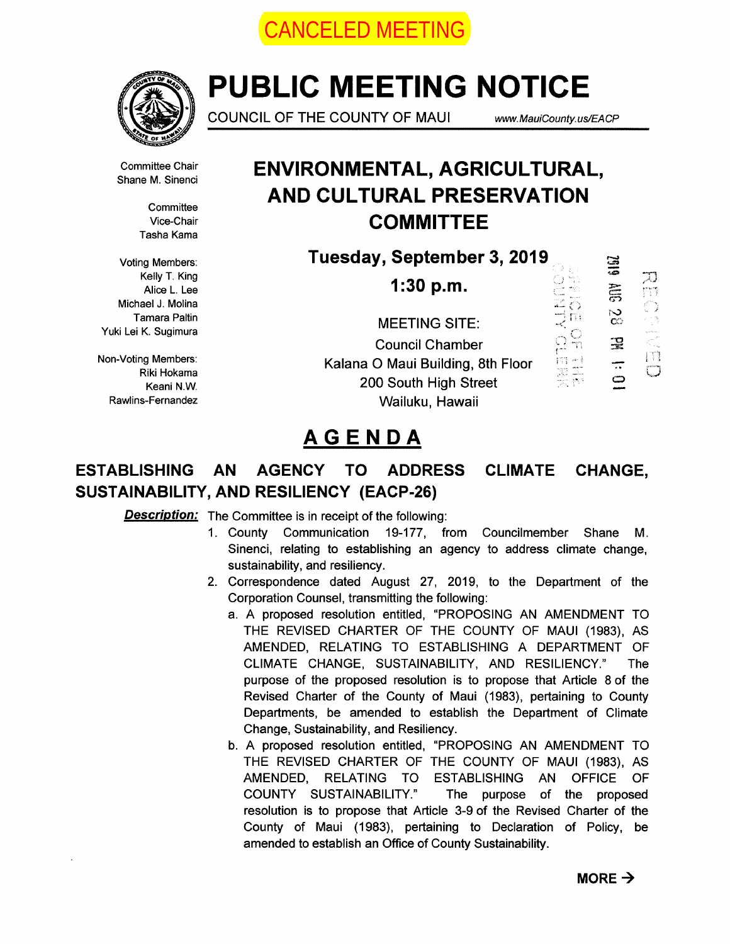



# PUBLIC MEETING NOTICE

COUNCIL OF THE COUNTY OF MAUI www.MauiCounty.us/EACP

四四、二、四

 $\Box$ 

Shane M. Sinenci

**Committee** Tasha Kama

Kelly T. King Michael J. Molina

Riki Hokama

### Committee Chair **ENVIRONMENTAL, AGRICULTURAL,** AND CULTURAL PRESERVATION Vice-Chair **COMMITTEE**

Voting Members: Tuesday, September 3, 2019

**SIEZ** Neily 1. Ning<br>Alice L. Lee **1:30 p.m.**  $\overline{8}$ Tamara Paltin MEETING SITE:<br>
Yuki Lei K. Sugimura  $\frac{1}{2}$ 곷 Council Chamber Non Voting Members Kalana 0 Maui Building, 8th Floor —  $\mathbf{\Omega}$ Keani N.W. **200 South High Street** Rawlins-Fernandez **Wailuku, Hawaii** 

## AGENDA

### ESTABLISHING AN AGENCY TO ADDRESS CLIMATE CHANGE, SUSTAINABILITY, AND RESILIENCY (EACP-26)

**Description:** The Committee is in receipt of the following:

- 1. County Communication 19-177, from Councilmember Shane M. Sinenci, relating to establishing an agency to address climate change, sustainability, and resiliency.
- 2. Correspondence dated August 27, 2019, to the Department of the Corporation Counsel, transmitting the following:
	- a. A proposed resolution entitled, "PROPOSING AN AMENDMENT TO THE REVISED CHARTER OF THE COUNTY OF MAUI (1983), AS AMENDED, RELATING TO ESTABLISHING A DEPARTMENT OF CLIMATE CHANGE, SUSTAINABILITY, AND RESILIENCY." The purpose of the proposed resolution is to propose that Article 8 of the Revised Charter of the County of Maui (1983), pertaining to County Departments, be amended to establish the Department of Climate Change, Sustainability, and Resiliency.
	- b. A proposed resolution entitled, "PROPOSING AN AMENDMENT TO THE REVISED CHARTER OF THE COUNTY OF MAUI (1983), AS AMENDED, RELATING TO ESTABLISHING AN OFFICE OF COUNTY SUSTAINABILITY." The purpose of the proposed resolution is to propose that Article 3-9 of the Revised Charter of the County of Maui (1983), pertaining to Declaration of Policy, be amended to establish an Office of County Sustainability.